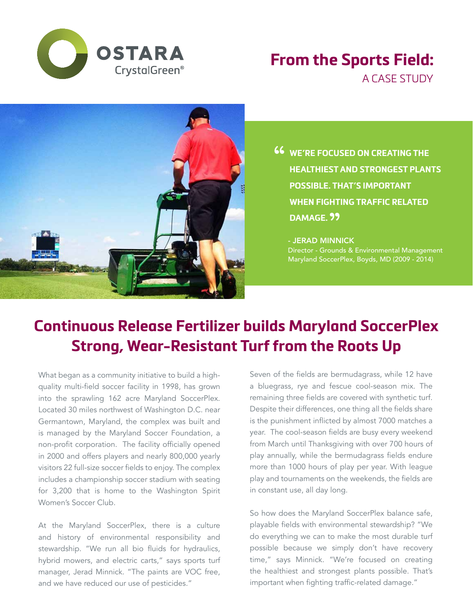

## **From the Sports Field:**

A CASE STUDY



**46** WE'RE FOCUSED ON CREATING THE HEALTHIEST AND STRONGEST PLAN **HEALTHIEST AND STRONGEST PLANTS POSSIBLE. THAT'S IMPORTANT WHEN FIGHTING TRAFFIC RELATED DAMAGE.** "

- JERAD MINNICK Director - Grounds & Environmental Management Maryland SoccerPlex, Boyds, MD (2009 - 2014)

## **Continuous Release Fertilizer builds Maryland SoccerPlex Strong, Wear-Resistant Turf from the Roots Up**

What began as a community initiative to build a highquality multi-field soccer facility in 1998, has grown into the sprawling 162 acre Maryland SoccerPlex. Located 30 miles northwest of Washington D.C. near Germantown, Maryland, the complex was built and is managed by the Maryland Soccer Foundation, a non-profit corporation. The facility officially opened in 2000 and offers players and nearly 800,000 yearly visitors 22 full-size soccer fields to enjoy. The complex includes a championship soccer stadium with seating for 3,200 that is home to the Washington Spirit Women's Soccer Club.

At the Maryland SoccerPlex, there is a culture and history of environmental responsibility and stewardship. "We run all bio fluids for hydraulics, hybrid mowers, and electric carts," says sports turf manager, Jerad Minnick. "The paints are VOC free, and we have reduced our use of pesticides."

Seven of the fields are bermudagrass, while 12 have a bluegrass, rye and fescue cool-season mix. The remaining three fields are covered with synthetic turf. Despite their differences, one thing all the fields share is the punishment inflicted by almost 7000 matches a year. The cool-season fields are busy every weekend from March until Thanksgiving with over 700 hours of play annually, while the bermudagrass fields endure more than 1000 hours of play per year. With league play and tournaments on the weekends, the fields are in constant use, all day long.

So how does the Maryland SoccerPlex balance safe, playable fields with environmental stewardship? "We do everything we can to make the most durable turf possible because we simply don't have recovery time," says Minnick. "We're focused on creating the healthiest and strongest plants possible. That's important when fighting traffic-related damage."